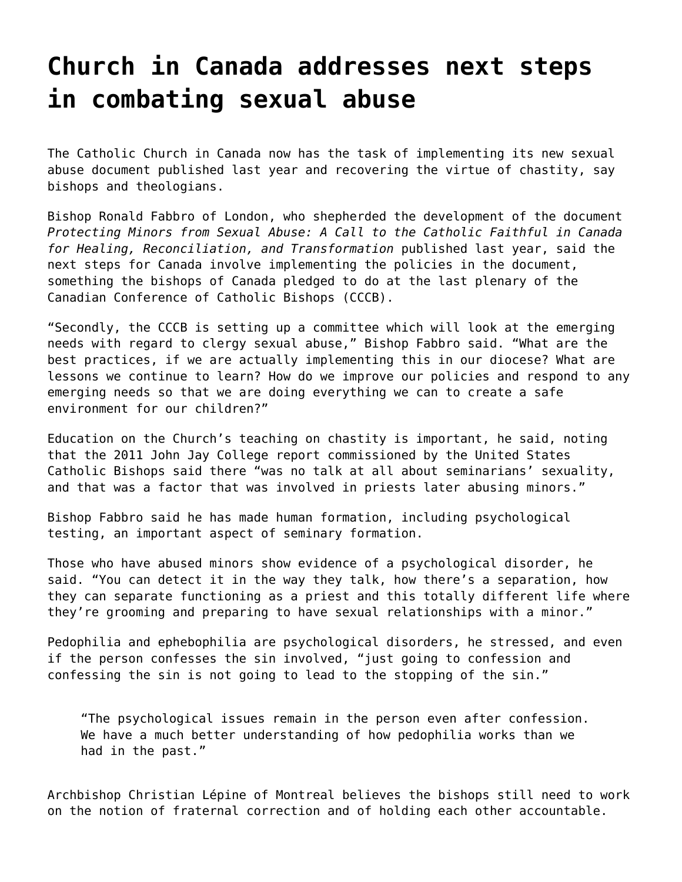## **[Church in Canada addresses next steps](https://grandinmedia.ca/church-canada-addresses-sex-abuse/) [in combating sexual abuse](https://grandinmedia.ca/church-canada-addresses-sex-abuse/)**

The Catholic Church in Canada now has the task of implementing its new sexual abuse document published last year and recovering the virtue of chastity, say bishops and theologians.

Bishop Ronald Fabbro of London, who shepherded the development of the document *Protecting Minors from Sexual Abuse: A Call to the Catholic Faithful in Canada for Healing, Reconciliation, and Transformation* published last year, said the next steps for Canada involve implementing the policies in the document, something the bishops of Canada pledged to do at the last plenary of the Canadian Conference of Catholic Bishops (CCCB).

"Secondly, the CCCB is setting up a committee which will look at the emerging needs with regard to clergy sexual abuse," Bishop Fabbro said. "What are the best practices, if we are actually implementing this in our diocese? What are lessons we continue to learn? How do we improve our policies and respond to any emerging needs so that we are doing everything we can to create a safe environment for our children?"

Education on the Church's teaching on chastity is important, he said, noting that the 2011 John Jay College report commissioned by the United States Catholic Bishops said there "was no talk at all about seminarians' sexuality, and that was a factor that was involved in priests later abusing minors."

Bishop Fabbro said he has made human formation, including psychological testing, an important aspect of seminary formation.

Those who have abused minors show evidence of a psychological disorder, he said. "You can detect it in the way they talk, how there's a separation, how they can separate functioning as a priest and this totally different life where they're grooming and preparing to have sexual relationships with a minor."

Pedophilia and ephebophilia are psychological disorders, he stressed, and even if the person confesses the sin involved, "just going to confession and confessing the sin is not going to lead to the stopping of the sin."

"The psychological issues remain in the person even after confession. We have a much better understanding of how pedophilia works than we had in the past."

Archbishop Christian Lépine of Montreal believes the bishops still need to work on the notion of fraternal correction and of holding each other accountable.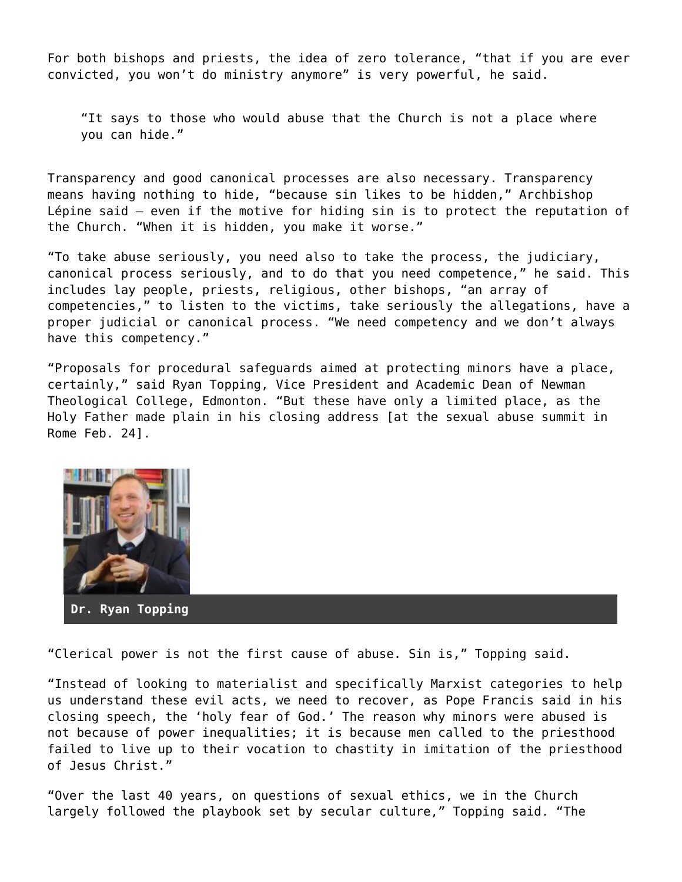For both bishops and priests, the idea of zero tolerance, "that if you are ever convicted, you won't do ministry anymore" is very powerful, he said.

"It says to those who would abuse that the Church is not a place where you can hide."

Transparency and good canonical processes are also necessary. Transparency means having nothing to hide, "because sin likes to be hidden," Archbishop Lépine said — even if the motive for hiding sin is to protect the reputation of the Church. "When it is hidden, you make it worse."

"To take abuse seriously, you need also to take the process, the judiciary, canonical process seriously, and to do that you need competence," he said. This includes lay people, priests, religious, other bishops, "an array of competencies," to listen to the victims, take seriously the allegations, have a proper judicial or canonical process. "We need competency and we don't always have this competency."

"Proposals for procedural safeguards aimed at protecting minors have a place, certainly," said Ryan Topping, Vice President and Academic Dean of Newman Theological College, Edmonton. "But these have only a limited place, as the Holy Father made plain in his closing address [at the sexual abuse summit in Rome Feb. 24].



"Clerical power is not the first cause of abuse. Sin is," Topping said.

"Instead of looking to materialist and specifically Marxist categories to help us understand these evil acts, we need to recover, as Pope Francis said in his closing speech, the 'holy fear of God.' The reason why minors were abused is not because of power inequalities; it is because men called to the priesthood failed to live up to their vocation to chastity in imitation of the priesthood of Jesus Christ."

"Over the last 40 years, on questions of sexual ethics, we in the Church largely followed the playbook set by secular culture," Topping said. "The